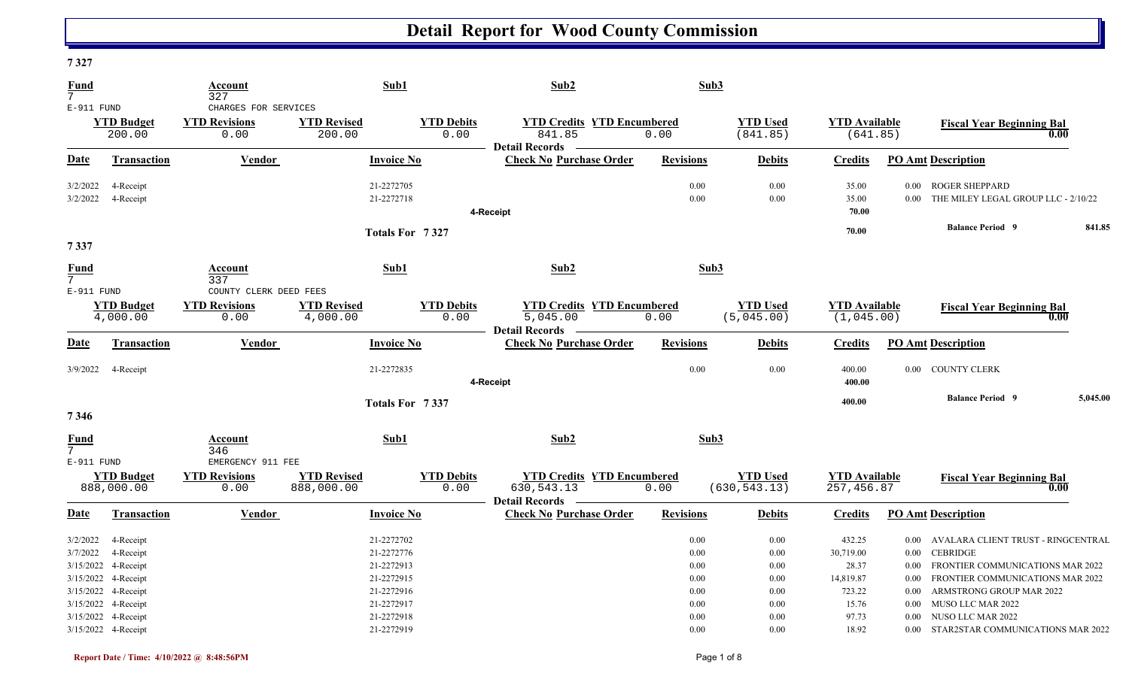| 1341                                                     |                                                                                                          |                                                        |                                  |                                                                                                |                                                                                     |                                                      |                                                      |                                                                       |                                              |                                                                                                                                                                                                        |  |
|----------------------------------------------------------|----------------------------------------------------------------------------------------------------------|--------------------------------------------------------|----------------------------------|------------------------------------------------------------------------------------------------|-------------------------------------------------------------------------------------|------------------------------------------------------|------------------------------------------------------|-----------------------------------------------------------------------|----------------------------------------------|--------------------------------------------------------------------------------------------------------------------------------------------------------------------------------------------------------|--|
| <b>Fund</b><br>7 <sup>1</sup>                            |                                                                                                          | Account<br>327                                         |                                  | Sub1                                                                                           | Sub2                                                                                | Sub3                                                 |                                                      |                                                                       |                                              |                                                                                                                                                                                                        |  |
| E-911 FUND                                               | <b>YTD Budget</b><br>200.00                                                                              | CHARGES FOR SERVICES<br><b>YTD Revisions</b><br>0.00   | <b>YTD Revised</b><br>200.00     | <b>YTD Debits</b><br>0.00                                                                      | <b>YTD Credits YTD Encumbered</b><br>841.85                                         | 0.00                                                 | <b>YTD Used</b><br>(841.85)                          | <b>YTD Available</b><br>(641.85)                                      |                                              | <b>Fiscal Year Beginning Bal</b><br>0.00                                                                                                                                                               |  |
| Date                                                     | Transaction                                                                                              | Vendor                                                 |                                  | <b>Invoice No</b>                                                                              | <b>Detail Records</b><br><b>Check No Purchase Order</b>                             | <b>Revisions</b>                                     | <b>Debits</b>                                        | <b>Credits</b>                                                        |                                              | <b>PO Amt Description</b>                                                                                                                                                                              |  |
| 3/2/2022<br>3/2/2022                                     | 4-Receipt<br>4-Receipt                                                                                   |                                                        |                                  | 21-2272705<br>21-2272718                                                                       | 4-Receipt                                                                           | 0.00<br>0.00                                         | 0.00<br>0.00                                         | 35.00<br>35.00<br>70.00                                               | $0.00\,$<br>$0.00\,$                         | <b>ROGER SHEPPARD</b><br>THE MILEY LEGAL GROUP LLC - 2/10/22                                                                                                                                           |  |
| 7337                                                     |                                                                                                          |                                                        |                                  | Totals For 7327                                                                                |                                                                                     |                                                      |                                                      | 70.00                                                                 |                                              | <b>Balance Period 9</b><br>841.85                                                                                                                                                                      |  |
| <b>Fund</b><br>7 <sup>7</sup>                            |                                                                                                          | Account<br>337                                         |                                  | Sub1                                                                                           | Sub2                                                                                | Sub3                                                 |                                                      |                                                                       |                                              |                                                                                                                                                                                                        |  |
| $E-911$ FUND                                             | <b>YTD Budget</b><br>4,000.00                                                                            | COUNTY CLERK DEED FEES<br><b>YTD Revisions</b><br>0.00 | <b>YTD Revised</b><br>4,000.00   | <b>YTD Debits</b><br>0.00                                                                      | <b>YTD Credits YTD Encumbered</b><br>$\overline{5,045.00}$<br><b>Detail Records</b> | 0.00                                                 | <b>YTD</b> Used<br>(5,045.00)                        | <b>YTD Available</b><br>(1,045.00)                                    |                                              | <b>Fiscal Year Beginning Bal</b><br>0.00                                                                                                                                                               |  |
| Date                                                     | Transaction                                                                                              | Vendor                                                 |                                  | <b>Invoice No</b>                                                                              | <b>Check No Purchase Order</b>                                                      | <b>Revisions</b>                                     | <b>Debits</b>                                        | <b>Credits</b>                                                        |                                              | <b>PO Amt Description</b>                                                                                                                                                                              |  |
| 3/9/2022                                                 | 4-Receipt                                                                                                |                                                        |                                  | 21-2272835                                                                                     | 4-Receipt                                                                           | 0.00                                                 | 0.00                                                 | 400.00<br>400.00                                                      |                                              | 0.00 COUNTY CLERK                                                                                                                                                                                      |  |
| 7346                                                     |                                                                                                          |                                                        |                                  | Totals For 7337                                                                                |                                                                                     |                                                      |                                                      | 400.00                                                                |                                              | <b>Balance Period 9</b><br>5,045.00                                                                                                                                                                    |  |
| <b>Fund</b><br>7 <sup>7</sup><br>$E-911$ FUND            |                                                                                                          | Account<br>346<br>EMERGENCY 911 FEE                    |                                  | Sub1                                                                                           | Sub2                                                                                | Sub3                                                 |                                                      |                                                                       |                                              |                                                                                                                                                                                                        |  |
|                                                          | <b>YTD Budget</b><br>888,000.00                                                                          | <b>YTD Revisions</b><br>0.00                           | <b>YTD Revised</b><br>888,000.00 | <b>YTD Debits</b><br>0.00                                                                      | <b>YTD Credits YTD Encumbered</b><br>630, 543. 13<br>Detail Records —               | 0.00                                                 | <b>YTD</b> Used<br>(630, 543.13)                     | <b>YTD Available</b><br>257,456.87                                    |                                              | <b>Fiscal Year Beginning Bal</b><br>0.00                                                                                                                                                               |  |
| <b>Date</b>                                              | <b>Transaction</b>                                                                                       | <b>Vendor</b>                                          |                                  | <b>Invoice No</b>                                                                              | <b>Check No Purchase Order</b>                                                      | <b>Revisions</b>                                     | <b>Debits</b>                                        | <b>Credits</b>                                                        |                                              | <b>PO Amt Description</b>                                                                                                                                                                              |  |
| 3/2/2022<br>3/7/2022<br>3/15/2022<br>3/15/2022 4-Receipt | 4-Receipt<br>4-Receipt<br>3/15/2022 4-Receipt<br>4-Receipt<br>3/15/2022 4-Receipt<br>3/15/2022 4-Receipt |                                                        |                                  | 21-2272702<br>21-2272776<br>21-2272913<br>21-2272915<br>21-2272916<br>21-2272917<br>21-2272918 |                                                                                     | 0.00<br>0.00<br>0.00<br>0.00<br>0.00<br>0.00<br>0.00 | 0.00<br>0.00<br>0.00<br>0.00<br>0.00<br>0.00<br>0.00 | 432.25<br>30,719.00<br>28.37<br>14,819.87<br>723.22<br>15.76<br>97.73 | 0.00<br>0.00<br>$0.00\,$<br>$0.00\,$<br>0.00 | 0.00 AVALARA CLIENT TRUST - RINGCENTRAL<br>0.00 CEBRIDGE<br>FRONTIER COMMUNICATIONS MAR 2022<br>FRONTIER COMMUNICATIONS MAR 2022<br>ARMSTRONG GROUP MAR 2022<br>MUSO LLC MAR 2022<br>NUSO LLC MAR 2022 |  |
|                                                          | 3/15/2022 4-Receipt                                                                                      |                                                        |                                  | 21-2272919                                                                                     |                                                                                     | 0.00                                                 | 0.00                                                 | 18.92                                                                 |                                              | 0.00 STAR2STAR COMMUNICATIONS MAR 2022                                                                                                                                                                 |  |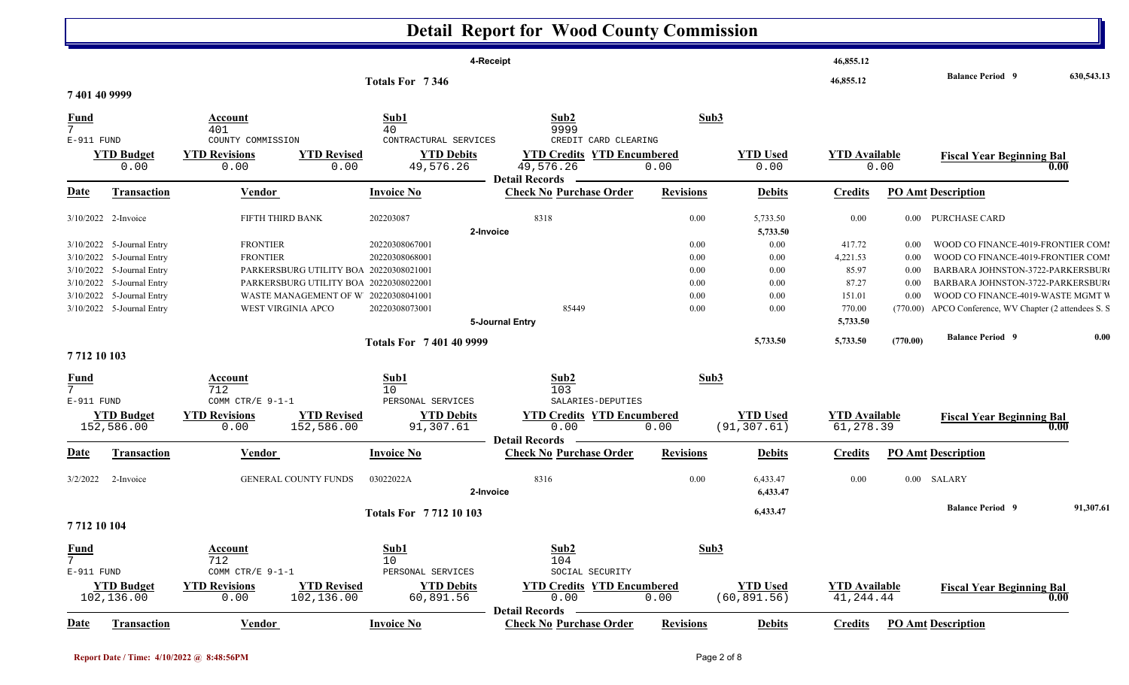#### **Detail Report for Wood County Commission 4-Receipt 46,855.12 46,855.12 Balance Period 630,543.13 <sup>9</sup> Totals For 7 346 7 401 40 9999** 7 401 $1 \hspace{3.1em} 40 \hspace{3.1em} 9999$ **Fund Account Sub1 Sub2 Sub3** E-911 FUND COUNTY COMMISSION CONTRACTURAL SERVICES CREDIT CARD CLEARING0.00 0.00 0.00 49,576.26 49,576.26 0.00 0.00 0.00 **YTD Budget YTD Revisions YTD Revised YTD Debits YTD EncumberedWED USED AVAILABLE 19.00**<br>0.00 **Fiscal Year Beginning Bal** 0.00<br>0.00 **Date Vendor Invoice NoTransaction Purchase Order Revisions Debits Credits PO Amt Description Detail Records**Vendor **Invoice No** 3/10/2022 2-Invoice 2-Invoice 202203087 0.00 FIFTH THIRD BANK 8318 5,733.50 0.00 0.00 PURCHASE CARD **2-Invoice 5,733.50** 3/10/2022 5-Journal Entry 5-Journal Entry 20220308067001 0.00 FRONTIER 0.00 417.72 0.00 WOOD CO FINANCE-4019-FRONTIER COM M3/10/2022 5-Journal Entry 2 5-Journal Entry 2020 FRONTIER 20220308068001 2002000 200 0.00 4,221.53 0.00 WOOD CO FINANCE-4019-FRONTIER COMI 3/10/2022 5-Journal Entry 2 5-Journal Entry 2008 PARKERSBURG UTILITY BOA 20220308021001 2020 2030 2020 2030 2009 2012 2020 2030 2040 2020 0.00 85.97 0.00 BARBARA JOHNSTON-3722-PARKERSBUR G3/10/2022 5-Journal Entry 5-Journal Entry 20220308022001 0.00 PARKERSBURG UTILITY BO A 0.00 87.27 0.00 BARBARA JOHNSTON-3722-PARKERSBUR G 3/10/2022 5-Journal Entry 2 5-Journal Entry 2020 2020308041001 20220308041001 20220308041001  $0.00$   $0.00$   $151.01$   $0.00$   $0.00$   $0.00$   $0.00$   $0.00$   $0.00$   $0.00$   $0.00$   $0.00$   $0.00$   $0.00$   $0.00$   $0.00$   $0.00$   $0.00$   $0.00$   $0.00$   $0.00$   $0.00$   $0.00$   $0.00$   $0.00$   $0.00$   $0.00$   $0.00$   $0.00$   $0.00$   $0.00$   $0$ 3/10/2022 5-Journal Entry WEST VIRGINIA APCO 20220308073001 85449 85449 0.00 0.00 770.00 770.00 (770.00) APCO Conference, WV Chapter (2 attendees S. S. **5-Journal Entry 5,733.50 5,733.50 5,733.50 ) (770.00 Balance Period 0.00 <sup>9</sup> Totals For 7 401 40 9999 7 712 10 103** 7 7122 and 10 and 103 and 103 and 103 and 103 and 103 and 103 and 103 and 103 and 103 and 103 and 103 and 103 and 103 and 103 and 103 and 103 and 103 and 103 and 103 and 103 and 103 and 103 and 103 and 103 and 103 and 103 and **Fund Account Sub1 Sub2 Sub3** E-911 FUND COMM CTR/E 9-1-1 PERSONAL SERVICES SALARIES-DEPUTIES 152,586.00 0.00 152,586.00 91,307.61 0.00 0.00 (91,307.61) 61,278.39 **YTD Budget YTD Revisions YTD Revised YTD Debits YTD Credits YTD Encumbered<u>WID Used</u><br>
Fiscal Year Beginning Bal**<br>
(91,307.61)<br> **Fiscal Year Beginning Bal**<br> **Fiscal Year Beginning Bal Date Vendor Invoice NoTransaction Purchase Order Revisions Debits Credits PO Amt Description Detail RecordsConductional Vendor Check Invoice No** 3/2/2022 2-Invoice 03022022A 0.00 GENERAL COUNTY FUNDS 8316 6,433.47 0.00 0.00 SALARY **2-Invoice 6,433.47 6,433.47 Balance Period 91,307.61 <sup>9</sup> Totals For 7 712 10 103 7 712 10 104** 7 7122 and 10 10  $\pm$  10  $\pm$  10  $\pm$  10  $\pm$ **Fund Account Sub1 Sub2 Sub3** E-911 FUND COMM CTR/E 9-1-1 PERSONAL SERVICES SOCIAL SECURITY 102,136.00 0.00 102,136.00 60,891.56 0.00 0.00 (60,891.56) 41,244.44 **YTD Budget YTD Revisions YTD Revised YTD Debits YTD Credits YTD Encumbered<u>WTD Used</u> <b>Example 1** TD Available **Fiscal Year Beginning Bal 1** Consequently **Fiscal Year Beginning Bal 1** Consequently **Fiscal Year Beginning Bal 1** Consequently **Fiscal Year Beginning Bal Date Vendor Invoice NoTransaction Purchase Order Revisions Debits Credits PO Amt Description Detail Records** Vendor **Invoice No**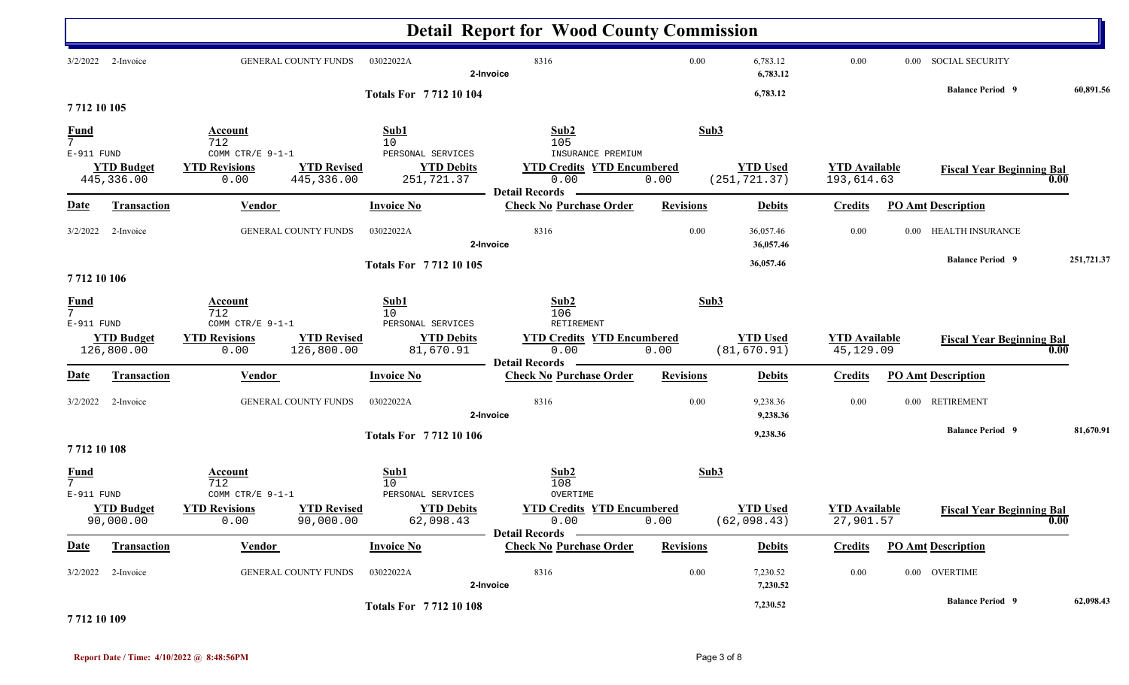|                                              |                                 |                                                                                                                 |                                                                    | <b>Detail Report for Wood County Commission</b>                                                        |                      |                                  |                                    |                      |                                  |                   |
|----------------------------------------------|---------------------------------|-----------------------------------------------------------------------------------------------------------------|--------------------------------------------------------------------|--------------------------------------------------------------------------------------------------------|----------------------|----------------------------------|------------------------------------|----------------------|----------------------------------|-------------------|
| 3/2/2022                                     | 2-Invoice                       | GENERAL COUNTY FUNDS                                                                                            | 8316<br>$0.00\,$<br>2-Invoice                                      |                                                                                                        | 6,783.12<br>6,783.12 | $0.00\,$                         |                                    | 0.00 SOCIAL SECURITY |                                  |                   |
| 7712 10 105                                  |                                 |                                                                                                                 | <b>Totals For 771210104</b>                                        |                                                                                                        |                      | 6,783.12                         |                                    |                      | <b>Balance Period 9</b>          | 60,891.56         |
| <b>Fund</b><br>$7\overline{ }$<br>E-911 FUND | <b>YTD Budget</b><br>445,336.00 | Account<br>712<br>COMM CTR/E 9-1-1<br><b>YTD Revised</b><br><b>YTD Revisions</b><br>0.00<br>445,336.00          | Sub1<br>10<br>PERSONAL SERVICES<br><b>YTD Debits</b><br>251,721.37 | Sub2<br>105<br>INSURANCE PREMIUM<br><b>YTD Credits YTD Encumbered</b><br>0.00<br><b>Detail Records</b> | Sub3<br>0.00         | <b>YTD Used</b><br>(251, 721.37) | <b>YTD</b> Available<br>193,614.63 |                      | <b>Fiscal Year Beginning Bal</b> | 0.00              |
| <b>Date</b>                                  | Transaction                     | <b>Vendor</b>                                                                                                   | <b>Invoice No</b>                                                  | <b>Check No Purchase Order</b>                                                                         | <b>Revisions</b>     | <b>Debits</b>                    | <b>Credits</b>                     |                      | <b>PO Amt Description</b>        |                   |
| 3/2/2022                                     | 2-Invoice                       | GENERAL COUNTY FUNDS                                                                                            | 03022022A                                                          | 8316<br>2-Invoice                                                                                      | $0.00\,$             | 36,057.46<br>36,057.46           | 0.00                               |                      | 0.00 HEALTH INSURANCE            |                   |
| 7712 10 106                                  |                                 |                                                                                                                 | Totals For 7712 10 105                                             |                                                                                                        |                      | 36,057.46                        |                                    |                      | <b>Balance Period 9</b>          | 251,721.37        |
| <b>Fund</b><br>$7\overline{ }$<br>E-911 FUND | <b>YTD Budget</b><br>126,800.00 | <b>Account</b><br>712<br>COMM CTR/E $9-1-1$<br><b>YTD Revisions</b><br><b>YTD Revised</b><br>126,800.00<br>0.00 | Sub1<br>10<br>PERSONAL SERVICES<br><b>YTD Debits</b><br>81,670.91  | Sub2<br>106<br>RETIREMENT<br><b>YTD Credits YTD Encumbered</b><br>0.00<br><b>Detail Records</b>        | Sub3<br>0.00         | <b>YTD Used</b><br>(81, 670.91)  | <b>YTD Available</b><br>45,129.09  |                      | <b>Fiscal Year Beginning Bal</b> | 0.00              |
| <b>Date</b>                                  | <b>Transaction</b>              | <b>Vendor</b>                                                                                                   | <b>Invoice No</b>                                                  | <b>Check No Purchase Order</b>                                                                         | <b>Revisions</b>     | <b>Debits</b>                    | <b>Credits</b>                     |                      | <b>PO Amt Description</b>        |                   |
| 3/2/2022                                     | 2-Invoice                       | GENERAL COUNTY FUNDS                                                                                            | 03022022A                                                          | 8316<br>2-Invoice                                                                                      | 0.00                 | 9,238.36<br>9,238.36             | 0.00                               | $0.00\,$             | <b>RETIREMENT</b>                |                   |
| 7712 10 108                                  |                                 |                                                                                                                 | <b>Totals For 771210106</b>                                        |                                                                                                        |                      | 9,238.36                         |                                    |                      | <b>Balance Period 9</b>          | 81,670.91         |
| $\frac{Fund}{7}$<br>E-911 FUND               | <b>YTD Budget</b><br>90,000.00  | <b>Account</b><br>712<br>COMM CTR/E 9-1-1<br><b>YTD Revised</b><br><b>YTD Revisions</b><br>0.00<br>90,000.00    | Sub1<br>10<br>PERSONAL SERVICES<br><b>YTD Debits</b><br>62,098.43  | Sub2<br>108<br>OVERTIME<br><b>YTD Credits YTD Encumbered</b><br>0.00<br>Detail Records —               | Sub3<br>0.00         | <b>YTD Used</b><br>(62,098.43)   | <b>YTD</b> Available<br>27,901.57  |                      | <b>Fiscal Year Beginning Bal</b> | $\overline{0.00}$ |
| <b>Date</b>                                  | Transaction                     | <b>Vendor</b>                                                                                                   | <b>Invoice No</b>                                                  | <b>Check No Purchase Order</b>                                                                         | <b>Revisions</b>     | <b>Debits</b>                    | <b>Credits</b>                     |                      | <b>PO Amt Description</b>        |                   |
|                                              | 3/2/2022 2-Invoice              | GENERAL COUNTY FUNDS                                                                                            | 03022022A                                                          | 8316<br>2-Invoice                                                                                      | $0.00\,$             | 7,230.52<br>7,230.52             | 0.00                               |                      | 0.00 OVERTIME                    |                   |
|                                              |                                 |                                                                                                                 | <b>Totals For 771210108</b>                                        |                                                                                                        |                      | 7,230.52                         |                                    |                      | <b>Balance Period 9</b>          | 62,098.43         |

**7 712 10 109**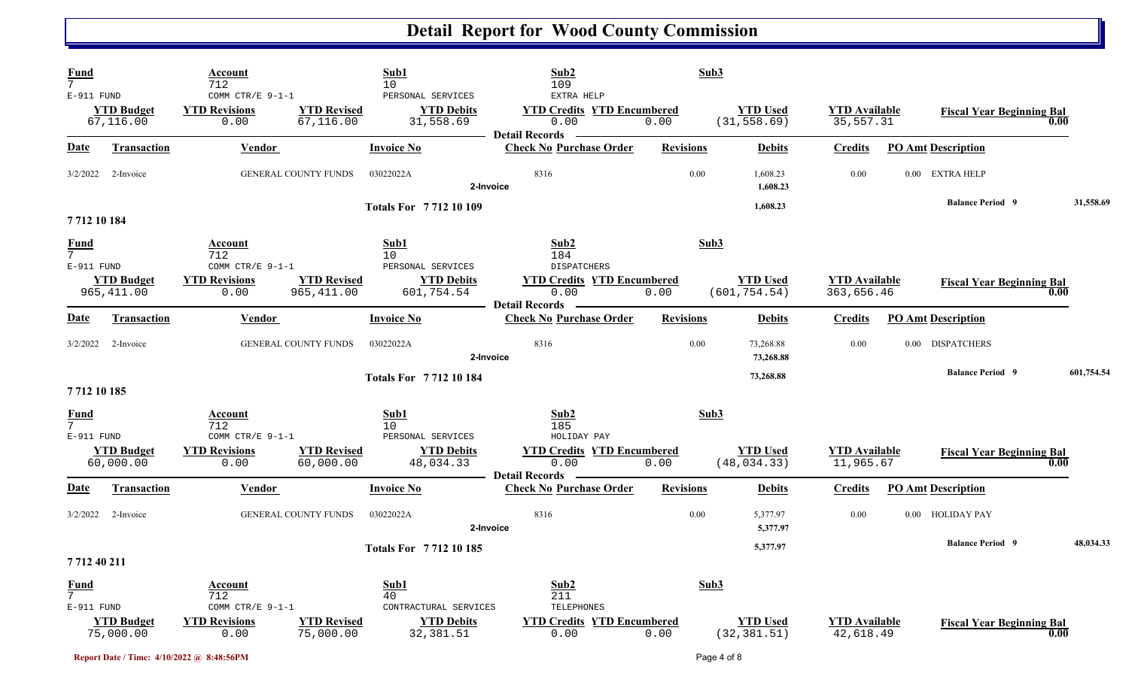| <b>Fund</b><br>$\overline{7}$                  |                                  | Account<br>712                                   |                                  | Sub1<br>10                                          | Sub2<br>109<br>EXTRA HELP                                          | Sub3             |                                  |                                    |                                  |            |  |
|------------------------------------------------|----------------------------------|--------------------------------------------------|----------------------------------|-----------------------------------------------------|--------------------------------------------------------------------|------------------|----------------------------------|------------------------------------|----------------------------------|------------|--|
| E-911 FUND                                     | <b>YTD Budget</b><br>67,116.00   | COMM CTR/E 9-1-1<br><b>YTD Revisions</b><br>0.00 | <b>YTD Revised</b><br>67,116.00  | PERSONAL SERVICES<br><b>YTD Debits</b><br>31,558.69 | <b>YTD Credits YTD Encumbered</b><br>0.00<br><b>Detail Records</b> | 0.00             | <b>YTD Used</b><br>(31, 558.69)  | <b>YTD</b> Available<br>35,557.31  | <b>Fiscal Year Beginning Bal</b> | 0.00       |  |
| <u>Date</u>                                    | <b>Transaction</b>               | <b>Vendor</b>                                    |                                  | <b>Invoice No</b>                                   | <b>Check No Purchase Order</b>                                     | <b>Revisions</b> | <b>Debits</b>                    | <b>Credits</b>                     | <b>PO Amt Description</b>        |            |  |
| 3/2/2022                                       | 2-Invoice                        |                                                  | <b>GENERAL COUNTY FUNDS</b>      | 03022022A                                           | 8316<br>2-Invoice                                                  | 0.00             | 1,608.23<br>1,608.23             | 0.00                               | 0.00 EXTRA HELP                  |            |  |
| 771210184                                      |                                  |                                                  |                                  | <b>Totals For 771210109</b>                         |                                                                    |                  | 1,608.23                         |                                    | <b>Balance Period 9</b>          | 31,558.69  |  |
| <u>Fund</u><br>7 <sup>7</sup><br>E-911 FUND    |                                  | Account<br>712<br>COMM CTR/E 9-1-1               |                                  | Sub1<br>10<br>PERSONAL SERVICES                     | Sub <sub>2</sub><br>184<br><b>DISPATCHERS</b>                      | Sub3             |                                  |                                    |                                  |            |  |
|                                                | <b>YTD Budget</b><br>965, 411.00 | <b>YTD Revisions</b><br>0.00                     | <b>YTD Revised</b><br>965,411.00 | <b>YTD Debits</b><br>601,754.54                     | <b>YTD Credits YTD Encumbered</b><br>0.00<br><b>Detail Records</b> | 0.00             | <b>YTD Used</b><br>(601, 754.54) | <b>YTD Available</b><br>363,656.46 | <b>Fiscal Year Beginning Bal</b> | 0.00       |  |
| <b>Date</b>                                    | <b>Transaction</b>               | Vendor                                           |                                  | <b>Invoice No</b>                                   | <b>Check No Purchase Order</b>                                     | <b>Revisions</b> | <b>Debits</b>                    | <b>Credits</b>                     | <b>PO Amt Description</b>        |            |  |
| 3/2/2022                                       | 2-Invoice                        |                                                  | <b>GENERAL COUNTY FUNDS</b>      | 03022022A                                           | 8316<br>2-Invoice                                                  | 0.00             | 73,268.88<br>73,268.88           | 0.00                               | 0.00 DISPATCHERS                 |            |  |
| 7712 10 185                                    |                                  |                                                  |                                  | <b>Totals For 771210184</b>                         |                                                                    |                  | 73,268.88                        |                                    | <b>Balance Period 9</b>          | 601,754.54 |  |
| <b>Fund</b><br>$\overline{7}$<br>E-911 FUND    |                                  | Account<br>712<br>COMM CTR/E $9-1-1$             |                                  | Sub1<br>10 <sup>°</sup><br>PERSONAL SERVICES        | Sub2<br>185<br>HOLIDAY PAY                                         | Sub3             |                                  |                                    |                                  |            |  |
|                                                | <b>YTD Budget</b><br>60,000.00   | <b>YTD Revisions</b><br>0.00                     | <b>YTD Revised</b><br>60,000.00  | <b>YTD Debits</b><br>48,034.33                      | <b>YTD Credits YTD Encumbered</b><br>0.00<br><b>Detail Records</b> | 0.00             | <b>YTD Used</b><br>(48, 034.33)  | <b>YTD</b> Available<br>11,965.67  | <b>Fiscal Year Beginning Bal</b> | 0.00       |  |
| <u>Date</u>                                    | <b>Transaction</b>               | <b>Vendor</b>                                    |                                  | <b>Invoice No</b>                                   | <b>Check No Purchase Order</b>                                     | <b>Revisions</b> | <b>Debits</b>                    | <b>Credits</b>                     | <b>PO Amt Description</b>        |            |  |
| 3/2/2022                                       | 2-Invoice                        |                                                  | <b>GENERAL COUNTY FUNDS</b>      | 03022022A                                           | 8316<br>2-Invoice                                                  | 0.00             | 5,377.97<br>5,377.97             | 0.00                               | 0.00 HOLIDAY PAY                 |            |  |
| 7 712 40 211                                   |                                  |                                                  |                                  | <b>Totals For 771210185</b>                         |                                                                    |                  | 5,377.97                         |                                    | <b>Balance Period 9</b>          | 48,034.33  |  |
| <b>Fund</b><br>$7\overline{ }$<br>$E-911$ FUND |                                  | Account<br>712<br>COMM CTR/E $9-1-1$             |                                  | Sub1<br>40<br>CONTRACTURAL SERVICES                 | Sub2<br>211<br>TELEPHONES                                          | Sub3             |                                  |                                    |                                  |            |  |
|                                                | <b>YTD Budget</b><br>75,000.00   | <b>YTD Revisions</b><br>0.00                     | <b>YTD Revised</b><br>75,000.00  | <b>YTD Debits</b><br>32, 381.51                     | <b>YTD Credits YTD Encumbered</b><br>0.00                          | 0.00             | <b>YTD Used</b><br>(32, 381.51)  | <b>YTD Available</b><br>42,618.49  | <b>Fiscal Year Beginning Bal</b> | 0.00       |  |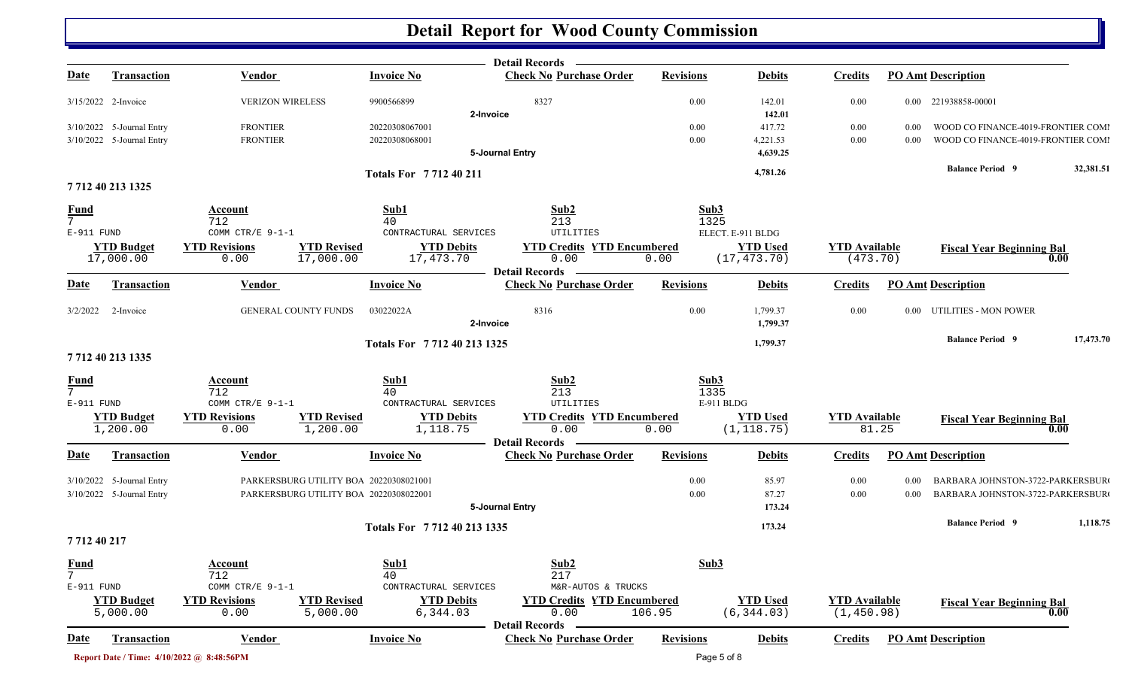|                                             |                                                        |                                           |                                                                                  |                                     | Detail Records —                                                |                            |                                 |                                     |                  |                                                                          |           |
|---------------------------------------------|--------------------------------------------------------|-------------------------------------------|----------------------------------------------------------------------------------|-------------------------------------|-----------------------------------------------------------------|----------------------------|---------------------------------|-------------------------------------|------------------|--------------------------------------------------------------------------|-----------|
| <u>Date</u>                                 | <b>Transaction</b>                                     | <b>Vendor</b>                             |                                                                                  | <b>Invoice No</b>                   | <b>Check No Purchase Order</b>                                  | <b>Revisions</b>           | <b>Debits</b>                   | <b>Credits</b>                      |                  | <b>PO Amt Description</b>                                                |           |
|                                             | 3/15/2022 2-Invoice                                    | <b>VERIZON WIRELESS</b>                   |                                                                                  | 9900566899                          | 8327<br>2-Invoice                                               | 0.00                       | 142.01<br>142.01                | $0.00\,$                            |                  | 0.00 221938858-00001                                                     |           |
|                                             | 3/10/2022 5-Journal Entry<br>3/10/2022 5-Journal Entry | <b>FRONTIER</b><br><b>FRONTIER</b>        |                                                                                  | 20220308067001<br>20220308068001    | 5-Journal Entry                                                 | 0.00<br>0.00               | 417.72<br>4,221.53<br>4,639.25  | $0.00\,$<br>$0.00\,$                | $0.00\,$<br>0.00 | WOOD CO FINANCE-4019-FRONTIER COMI<br>WOOD CO FINANCE-4019-FRONTIER COMI |           |
|                                             |                                                        |                                           |                                                                                  |                                     |                                                                 |                            | 4,781.26                        |                                     |                  | <b>Balance Period 9</b>                                                  | 32,381.51 |
|                                             | 7712 40 213 1325                                       |                                           |                                                                                  | Totals For 771240211                |                                                                 |                            |                                 |                                     |                  |                                                                          |           |
| <u>Fund</u><br>$\overline{7}$<br>E-911 FUND |                                                        | <b>Account</b><br>712<br>COMM CTR/E 9-1-1 |                                                                                  | Sub1<br>40<br>CONTRACTURAL SERVICES | Sub2<br>213<br>UTILITIES                                        | Sub3<br>1325               | ELECT. E-911 BLDG               |                                     |                  |                                                                          |           |
|                                             | <b>YTD Budget</b><br>17,000.00                         | <b>YTD Revisions</b><br>0.00              | <b>YTD Revised</b><br>17,000.00                                                  | <b>YTD Debits</b><br>17,473.70      | <b>YTD Credits YTD Encumbered</b><br>0.00                       | 0.00                       | <b>YTD Used</b><br>(17, 473.70) | <b>YTD Available</b><br>(473.70)    |                  | <b>Fiscal Year Beginning Bal</b><br>0.00                                 |           |
| <b>Date</b>                                 | Transaction                                            | Vendor                                    |                                                                                  | <b>Invoice No</b>                   | <b>Detail Records</b><br><b>Check No Purchase Order</b>         | <b>Revisions</b>           | <b>Debits</b>                   | <b>Credits</b>                      |                  | <b>PO Amt Description</b>                                                |           |
| 3/2/2022                                    | 2-Invoice                                              | <b>GENERAL COUNTY FUNDS</b>               |                                                                                  | 03022022A                           | 8316<br>2-Invoice                                               | 0.00                       | 1,799.37<br>1,799.37            | 0.00                                |                  | 0.00 UTILITIES - MON POWER                                               |           |
|                                             |                                                        |                                           |                                                                                  | Totals For 7712 40 213 1325         |                                                                 |                            | 1,799.37                        |                                     |                  | <b>Balance Period 9</b>                                                  | 17,473.70 |
|                                             | 7 712 40 213 1335                                      |                                           |                                                                                  |                                     |                                                                 |                            |                                 |                                     |                  |                                                                          |           |
| $\frac{Fund}{7}$<br>E-911 FUND              |                                                        | Account<br>712<br>COMM CTR/E $9-1-1$      |                                                                                  | Sub1<br>40<br>CONTRACTURAL SERVICES | Sub2<br>213<br>UTILITIES                                        | Sub3<br>1335<br>E-911 BLDG |                                 |                                     |                  |                                                                          |           |
|                                             | <b>YTD Budget</b><br>1,200.00                          | <b>YTD Revisions</b><br>0.00              | <b>YTD Revised</b><br>1,200.00                                                   | <b>YTD Debits</b><br>1,118.75       | <b>YTD Credits YTD Encumbered</b><br>0.00<br>- Detail Records - | 0.00                       | <b>YTD Used</b><br>(1, 118.75)  | <b>YTD Available</b><br>81.25       |                  | <b>Fiscal Year Beginning Bal</b><br>0.00                                 |           |
| <u>Date</u>                                 | Transaction                                            | Vendor                                    |                                                                                  | <b>Invoice No</b>                   | <b>Check No Purchase Order</b>                                  | <b>Revisions</b>           | <b>Debits</b>                   | <b>Credits</b>                      |                  | <b>PO Amt Description</b>                                                |           |
|                                             | 3/10/2022 5-Journal Entry<br>3/10/2022 5-Journal Entry |                                           | PARKERSBURG UTILITY BOA 20220308021001<br>PARKERSBURG UTILITY BOA 20220308022001 |                                     | 5-Journal Entry                                                 | 0.00<br>0.00               | 85.97<br>87.27<br>173.24        | 0.00<br>0.00                        | 0.00<br>0.00     | BARBARA JOHNSTON-3722-PARKERSBUR<br>BARBARA JOHNSTON-3722-PARKERSBUR     |           |
|                                             |                                                        |                                           |                                                                                  | Totals For 7712 40 213 1335         |                                                                 |                            | 173.24                          |                                     |                  | <b>Balance Period 9</b>                                                  | 1,118.75  |
| 771240217                                   |                                                        |                                           |                                                                                  |                                     |                                                                 |                            |                                 |                                     |                  |                                                                          |           |
| $\frac{Fund}{7}$<br>E-911 FUND              |                                                        | Account<br>712<br>COMM CTR/E $9-1-1$      |                                                                                  | Sub1<br>40<br>CONTRACTURAL SERVICES | Sub2<br>217<br>M&R-AUTOS & TRUCKS                               | Sub3                       |                                 |                                     |                  |                                                                          |           |
|                                             | <b>YTD Budget</b><br>5,000.00                          | <b>YTD Revisions</b><br>0.00              | <b>YTD Revised</b><br>5,000.00                                                   | <b>YTD Debits</b><br>6,344.03       | <b>YTD Credits YTD Encumbered</b><br>0.00                       | 106.95                     | <b>YTD Used</b><br>(6, 344.03)  | <b>YTD Available</b><br>(1, 450.98) |                  | <b>Fiscal Year Beginning Bal</b><br>0.00                                 |           |
| <b>Date</b>                                 | <b>Transaction</b>                                     | Vendor                                    |                                                                                  | <b>Invoice No</b>                   | <b>Detail Records</b><br><b>Check No Purchase Order</b>         | <b>Revisions</b>           | <b>Debits</b>                   | <b>Credits</b>                      |                  | <b>PO Amt Description</b>                                                |           |
|                                             |                                                        | Report Date / Time: 4/10/2022 @ 8:48:56PM |                                                                                  |                                     |                                                                 | Page 5 of 8                |                                 |                                     |                  |                                                                          |           |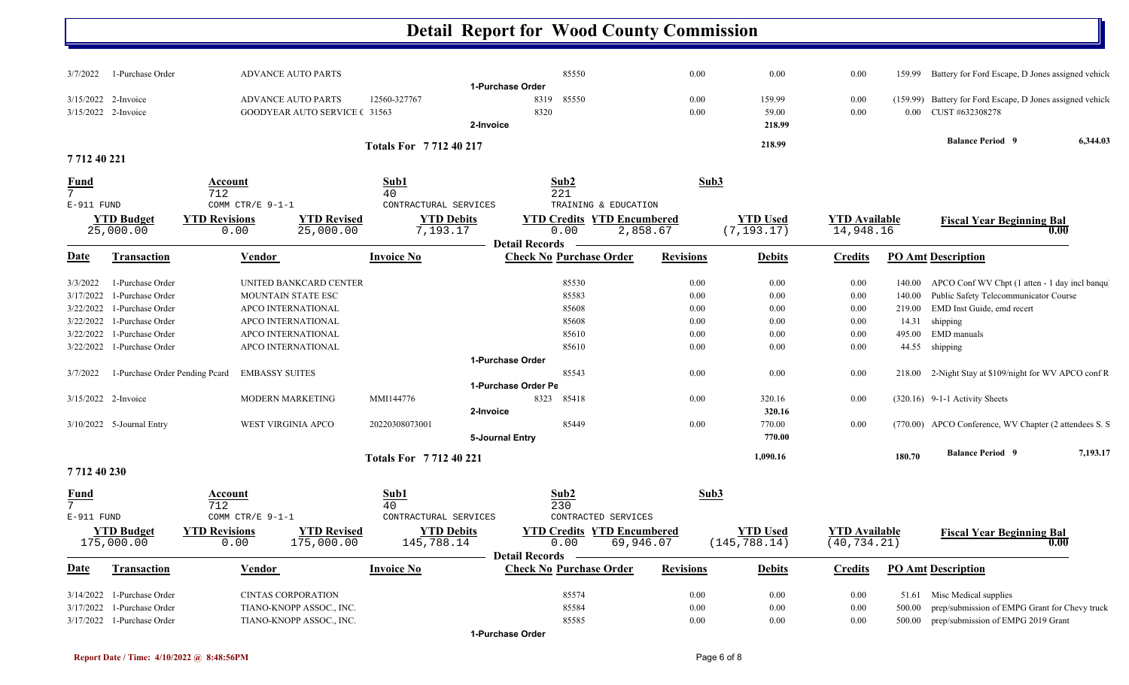| 3/7/2022                                      | 1-Purchase Order                | <b>ADVANCE AUTO PARTS</b>                                         |                                                                     |                                               | 85550                                                  | 0.00             | 0.00                             | 0.00                                 |        | 159.99 Battery for Ford Escape, D Jones assigned vehicle                           |          |
|-----------------------------------------------|---------------------------------|-------------------------------------------------------------------|---------------------------------------------------------------------|-----------------------------------------------|--------------------------------------------------------|------------------|----------------------------------|--------------------------------------|--------|------------------------------------------------------------------------------------|----------|
| 3/15/2022 2-Invoice<br>3/15/2022 2-Invoice    |                                 | <b>ADVANCE AUTO PARTS</b><br><b>GOODYEAR AUTO SERVICE (31563)</b> | 12560-327767                                                        | 1-Purchase Order<br>8319<br>8320<br>2-Invoice | 85550                                                  | 0.00<br>0.00     | 159.99<br>59.00<br>218.99        | 0.00<br>0.00                         |        | (159.99) Battery for Ford Escape, D Jones assigned vehicle<br>0.00 CUST #632308278 |          |
|                                               |                                 |                                                                   | <b>Totals For 771240217</b>                                         |                                               |                                                        |                  | 218.99                           |                                      |        | <b>Balance Period 9</b>                                                            | 6,344.03 |
| 7 7 1 2 4 0 2 2 1                             |                                 |                                                                   |                                                                     |                                               |                                                        |                  |                                  |                                      |        |                                                                                    |          |
| <b>Fund</b><br>$\overline{7}$<br>$E-911$ FUND |                                 | Account<br>712<br>COMM CTR/E 9-1-1                                | Sub1<br>40<br>CONTRACTURAL SERVICES                                 |                                               | Sub2<br>221<br>TRAINING & EDUCATION                    | Sub3             |                                  |                                      |        |                                                                                    |          |
|                                               | <b>YTD Budget</b><br>25,000.00  | <b>YTD Revisions</b><br>0.00                                      | <b>YTD Revised</b><br><b>YTD Debits</b><br>25,000.00<br>7,193.17    |                                               | <b>YTD Credits YTD Encumbered</b><br>0.00              | 2,858.67         | <b>YTD</b> Used<br>(7, 193.17)   | <b>YTD Available</b><br>14,948.16    |        | <b>Fiscal Year Beginning Bal</b>                                                   | 0.00     |
| Date                                          | Transaction                     | Vendor                                                            | <b>Invoice No</b>                                                   | <b>Detail Records</b>                         | <b>Check No Purchase Order</b>                         | <b>Revisions</b> | <b>Debits</b>                    | <b>Credits</b>                       |        | <b>PO Amt Description</b>                                                          |          |
| 3/3/2022                                      | 1-Purchase Order                | UNITED BANKCARD CENTER                                            |                                                                     |                                               | 85530                                                  | 0.00             | 0.00                             | 0.00                                 |        | 140.00 APCO Conf WV Chpt (1 atten - 1 day incl banqu                               |          |
| 3/17/2022                                     | 1-Purchase Order                | MOUNTAIN STATE ESC                                                |                                                                     |                                               | 85583                                                  | 0.00             | 0.00                             | 0.00                                 | 140.00 | Public Safety Telecommunicator Course                                              |          |
| 3/22/2022                                     | 1-Purchase Order                | APCO INTERNATIONAL                                                |                                                                     |                                               | 85608                                                  | 0.00             | 0.00                             | 0.00                                 | 219.00 | EMD Inst Guide, emd recert                                                         |          |
| 3/22/2022                                     | 1-Purchase Order                | APCO INTERNATIONAL                                                |                                                                     |                                               | 85608                                                  | 0.00             | 0.00                             | 0.00                                 | 14.31  | shipping                                                                           |          |
| 3/22/2022                                     | 1-Purchase Order                | APCO INTERNATIONAL                                                |                                                                     |                                               | 85610                                                  | 0.00             | 0.00                             | 0.00                                 | 495.00 | EMD manuals                                                                        |          |
| 3/22/2022                                     | 1-Purchase Order                | APCO INTERNATIONAL                                                |                                                                     |                                               | 85610                                                  | 0.00             | 0.00                             | 0.00                                 | 44.55  | shipping                                                                           |          |
|                                               |                                 |                                                                   |                                                                     | 1-Purchase Order                              |                                                        |                  |                                  |                                      |        |                                                                                    |          |
| 3/7/2022                                      | 1-Purchase Order Pending Peard  | <b>EMBASSY SUITES</b>                                             |                                                                     |                                               | 85543                                                  | 0.00             | 0.00                             | 0.00                                 |        | 218.00 2-Night Stay at \$109/night for WV APCO conf R                              |          |
|                                               |                                 |                                                                   |                                                                     | 1-Purchase Order Pe                           |                                                        |                  |                                  |                                      |        |                                                                                    |          |
| 3/15/2022 2-Invoice                           |                                 | MODERN MARKETING                                                  | MMI144776                                                           | 8323                                          | 85418                                                  | 0.00             | 320.16                           | 0.00                                 |        | $(320.16)$ 9-1-1 Activity Sheets                                                   |          |
|                                               |                                 |                                                                   |                                                                     | 2-Invoice                                     |                                                        |                  | 320.16                           |                                      |        |                                                                                    |          |
|                                               | $3/10/2022$ 5-Journal Entry     | <b>WEST VIRGINIA APCO</b>                                         | 20220308073001                                                      |                                               | 85449                                                  | 0.00             | 770.00                           | 0.00                                 |        | (770.00) APCO Conference, WV Chapter (2 attendees S. S.                            |          |
|                                               |                                 |                                                                   |                                                                     | 5-Journal Entry                               |                                                        |                  | 770.00                           |                                      |        |                                                                                    |          |
|                                               |                                 |                                                                   | <b>Totals For 771240221</b>                                         |                                               |                                                        |                  | 1,090.16                         |                                      | 180.70 | <b>Balance Period 9</b>                                                            | 7,193.17 |
| 771240230                                     |                                 |                                                                   |                                                                     |                                               |                                                        |                  |                                  |                                      |        |                                                                                    |          |
| <u>Fund</u><br>7<br>E-911 FUND                |                                 | Account<br>712<br>COMM CTR/E 9-1-1                                | Sub1<br>40<br>CONTRACTURAL SERVICES                                 |                                               | Sub2<br>230<br>CONTRACTED SERVICES                     | Sub3             |                                  |                                      |        |                                                                                    |          |
|                                               | <b>YTD Budget</b><br>175,000.00 | <b>YTD Revisions</b><br>0.00                                      | <b>YTD Revised</b><br><b>YTD Debits</b><br>175,000.00<br>145,788.14 | <b>Detail Records</b>                         | <b>YTD Credits YTD Encumbered</b><br>0.00<br>69,946.07 |                  | <b>YTD Used</b><br>(145, 788.14) | <b>YTD</b> Available<br>(40, 734.21) |        | <b>Fiscal Year Beginning Bal</b>                                                   | 0.00     |
| D <u>ate</u>                                  | <b>Transaction</b>              | <b>Vendor</b>                                                     | <b>Invoice No</b>                                                   |                                               | <b>Check No Purchase Order</b>                         | <b>Revisions</b> | <b>Debits</b>                    | <b>Credits</b>                       |        | <b>PO Amt Description</b>                                                          |          |
| 3/14/2022                                     | 1-Purchase Order                | <b>CINTAS CORPORATION</b>                                         |                                                                     |                                               | 85574                                                  | 0.00             | 0.00                             | 0.00                                 |        | 51.61 Misc Medical supplies                                                        |          |
| 3/17/2022                                     | 1-Purchase Order                | TIANO-KNOPP ASSOC., INC.                                          |                                                                     |                                               | 85584                                                  | 0.00             | 0.00                             | 0.00                                 | 500.00 | prep/submission of EMPG Grant for Chevy truck                                      |          |
|                                               | 3/17/2022 1-Purchase Order      | TIANO-KNOPP ASSOC., INC.                                          |                                                                     |                                               | 85585                                                  | 0.00             | 0.00                             | 0.00                                 | 500.00 | prep/submission of EMPG 2019 Grant                                                 |          |
|                                               |                                 |                                                                   |                                                                     |                                               |                                                        |                  |                                  |                                      |        |                                                                                    |          |

**1-Purchase Order**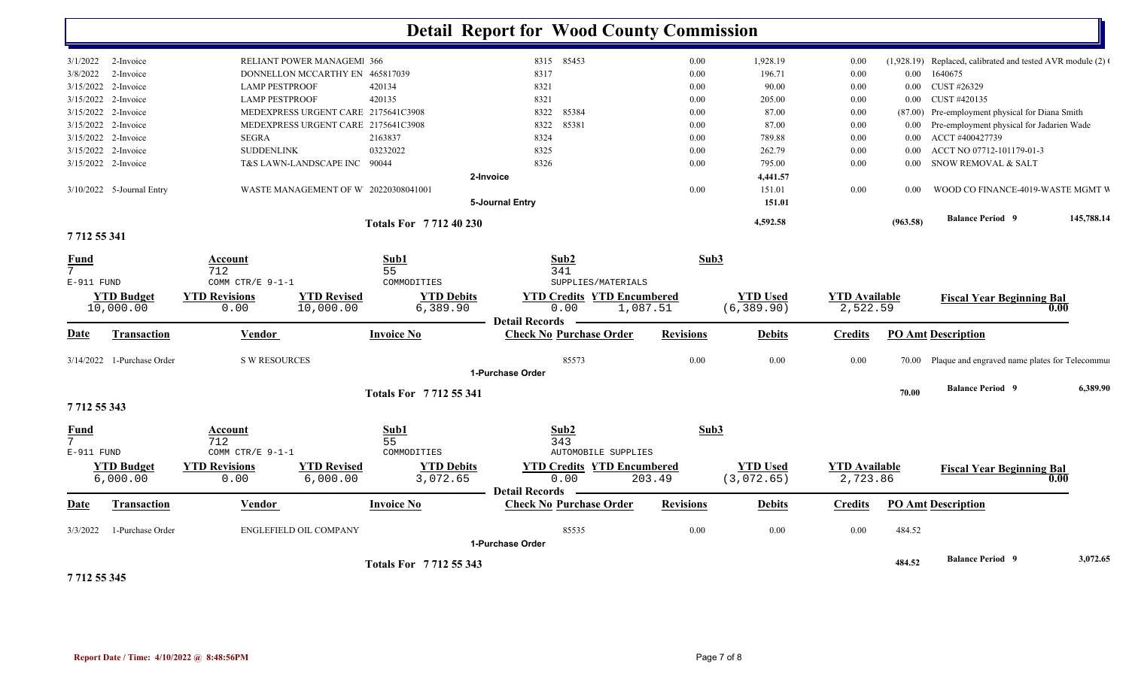|                                |                            |                       |                                      |                             | <b>Detail Report for Wood County Commission</b>         |                                   |                  |                 |                      |          |                                                           |            |  |
|--------------------------------|----------------------------|-----------------------|--------------------------------------|-----------------------------|---------------------------------------------------------|-----------------------------------|------------------|-----------------|----------------------|----------|-----------------------------------------------------------|------------|--|
| 3/1/2022                       | 2-Invoice                  |                       | RELIANT POWER MANAGEM 366            |                             | 8315 85453                                              |                                   | 0.00             | 1,928.19        | 0.00                 |          | (1,928.19) Replaced, calibrated and tested AVR module (2) |            |  |
| 3/8/2022                       | 2-Invoice                  |                       | DONNELLON MCCARTHY EN 465817039      |                             | 8317                                                    |                                   | 0.00             | 196.71          | 0.00                 | $0.00\,$ | 1640675                                                   |            |  |
|                                | $3/15/2022$ 2-Invoice      | <b>LAMP PESTPROOF</b> |                                      | 420134                      | 8321                                                    |                                   | 0.00             | 90.00           | 0.00                 | $0.00\,$ | CUST #26329                                               |            |  |
|                                | 3/15/2022 2-Invoice        | <b>LAMP PESTPROOF</b> |                                      | 420135                      | 8321                                                    |                                   | 0.00             | 205.00          | 0.00                 |          | 0.00 CUST #420135                                         |            |  |
| 3/15/2022                      | 2-Invoice                  |                       | MEDEXPRESS URGENT CARE 2175641C3908  |                             | 85384<br>8322                                           |                                   | 0.00             | 87.00           | 0.00                 | (87.00)  | Pre-employment physical for Diana Smith                   |            |  |
| 3/15/2022                      | 2-Invoice                  |                       | MEDEXPRESS URGENT CARE 2175641C3908  |                             | 85381<br>8322                                           |                                   | 0.00             | 87.00           | 0.00                 | $0.00\,$ | Pre-employment physical for Jadarien Wade                 |            |  |
|                                | 3/15/2022 2-Invoice        | <b>SEGRA</b>          |                                      | 2163837                     | 8324                                                    |                                   | 0.00             | 789.88          | 0.00                 | $0.00\,$ | ACCT #400427739                                           |            |  |
|                                | 3/15/2022 2-Invoice        | <b>SUDDENLINK</b>     |                                      | 03232022                    | 8325                                                    |                                   | 0.00             | 262.79          | 0.00                 | $0.00\,$ | ACCT NO 07712-101179-01-3                                 |            |  |
|                                | 3/15/2022 2-Invoice        |                       | T&S LAWN-LANDSCAPE INC               | 90044                       | 8326                                                    |                                   | 0.00             | 795.00          | 0.00                 | 0.00     | SNOW REMOVAL & SALT                                       |            |  |
|                                |                            |                       |                                      |                             | 2-Invoice                                               |                                   |                  | 4,441.57        |                      |          |                                                           |            |  |
|                                | 3/10/2022 5-Journal Entry  |                       | WASTE MANAGEMENT OF W 20220308041001 |                             |                                                         |                                   | 0.00             | 151.01          | 0.00                 | 0.00     | WOOD CO FINANCE-4019-WASTE MGMT V                         |            |  |
|                                |                            |                       |                                      |                             | 5-Journal Entry                                         |                                   |                  | 151.01          |                      |          |                                                           |            |  |
|                                |                            |                       |                                      | <b>Totals For 771240230</b> |                                                         |                                   |                  | 4,592.58        |                      | (963.58) | <b>Balance Period 9</b>                                   | 145,788.14 |  |
| 771255341                      |                            |                       |                                      |                             |                                                         |                                   |                  |                 |                      |          |                                                           |            |  |
| <b>Fund</b><br>$7\overline{ }$ |                            | Account<br>712        |                                      | Sub1<br>55                  | Sub <sub>2</sub><br>341                                 |                                   | Sub3             |                 |                      |          |                                                           |            |  |
| E-911 FUND                     |                            | COMM CTR/E 9-1-1      |                                      | COMMODITIES                 |                                                         | SUPPLIES/MATERIALS                |                  |                 |                      |          |                                                           |            |  |
|                                | <b>YTD Budget</b>          | <b>YTD Revisions</b>  | <b>YTD Revised</b>                   | <b>YTD Debits</b>           |                                                         | <b>YTD Credits YTD Encumbered</b> |                  | <b>YTD Used</b> | <b>YTD Available</b> |          | <b>Fiscal Year Beginning Bal</b>                          |            |  |
|                                | 10,000.00                  | 0.00                  | 10,000.00                            | 6,389.90                    | 0.00                                                    | 1,087.51                          |                  | (6, 389.90)     | 2,522.59             |          |                                                           | 0.00       |  |
| D <u>ate</u>                   | <b>Transaction</b>         | <b>Vendor</b>         |                                      | <b>Invoice No</b>           | <b>Detail Records</b><br><b>Check No Purchase Order</b> |                                   | <b>Revisions</b> | <b>Debits</b>   | <b>Credits</b>       |          | <b>PO Amt Description</b>                                 |            |  |
|                                |                            |                       |                                      |                             |                                                         |                                   |                  |                 |                      |          |                                                           |            |  |
|                                | 3/14/2022 1-Purchase Order | <b>S W RESOURCES</b>  |                                      |                             | 85573                                                   |                                   | 0.00             | 0.00            | 0.00                 |          | 70.00 Plaque and engraved name plates for Telecommun      |            |  |
|                                |                            |                       |                                      |                             | 1-Purchase Order                                        |                                   |                  |                 |                      |          |                                                           |            |  |
|                                |                            |                       |                                      | <b>Totals For 771255341</b> |                                                         |                                   |                  |                 |                      | 70.00    | <b>Balance Period 9</b>                                   | 6,389.90   |  |
| 771255343                      |                            |                       |                                      |                             |                                                         |                                   |                  |                 |                      |          |                                                           |            |  |
| <u>Fund</u>                    |                            | <u>Account</u>        |                                      | Sub1                        | Sub2                                                    |                                   | Sub3             |                 |                      |          |                                                           |            |  |
| $7^{\circ}$                    |                            | 712                   |                                      | 55                          | 343                                                     |                                   |                  |                 |                      |          |                                                           |            |  |
| E-911 FUND                     |                            | COMM CTR/E 9-1-1      |                                      | COMMODITIES                 |                                                         | <b>AUTOMOBILE SUPPLIES</b>        |                  |                 |                      |          |                                                           |            |  |
|                                | <b>YTD Budget</b>          | <b>YTD Revisions</b>  | <b>YTD Revised</b>                   | <b>YTD Debits</b>           |                                                         | <b>YTD Credits YTD Encumbered</b> |                  | <b>YTD Used</b> | <b>YTD</b> Available |          | <b>Fiscal Year Beginning Bal</b>                          |            |  |
|                                | 6,000.00                   | 0.00                  | 6,000.00                             | 3,072.65                    | 0.00                                                    | 203.49                            |                  | (3,072.65)      | 2,723.86             |          |                                                           | 0.00       |  |
|                                |                            |                       |                                      |                             | <b>Detail Records</b>                                   |                                   |                  |                 |                      |          |                                                           |            |  |
| Date                           | Transaction                | Vendor                |                                      | <b>Invoice No</b>           | <b>Check No Purchase Order</b>                          |                                   | <b>Revisions</b> | <b>Debits</b>   | <b>Credits</b>       |          | <b>PO Amt Description</b>                                 |            |  |
| 3/3/2022                       | 1-Purchase Order           |                       | ENGLEFIELD OIL COMPANY               |                             | 85535                                                   |                                   | 0.00             | 0.00            | 0.00                 | 484.52   |                                                           |            |  |
|                                |                            |                       |                                      |                             | 1-Purchase Order                                        |                                   |                  |                 |                      |          |                                                           |            |  |
|                                |                            |                       |                                      | Totals For 7712 55 343      |                                                         |                                   |                  |                 |                      | 484.52   | <b>Balance Period 9</b>                                   | 3,072.65   |  |

**7 712 55 345**